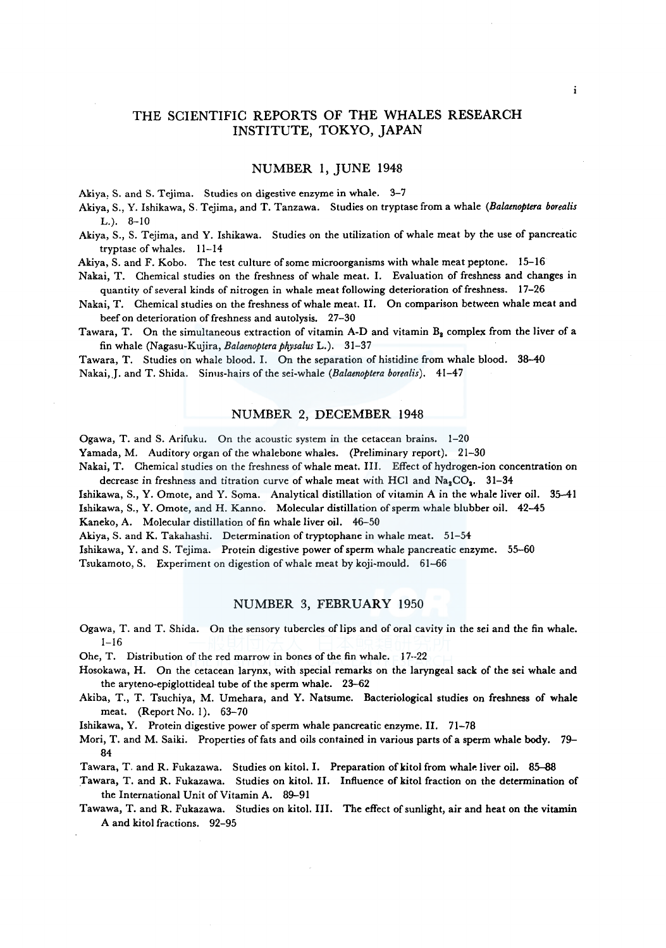# THE SCIENTIFIC REPORTS OF THE WHALES RESEARCH INSTITUTE, TOKYO, JAPAN

### NUMBER 1, JUNE 1948

Akiya, S. and S. Tejima. Studies on digestive enzyme in whale. 3-7

Akiya, S., Y. Ishikawa, S. Tejima, and T. Tanzawa. Studies on tryptase from a whale *(Balaenoptera borealis*  L.). 8-10

Akiya, S., S. Tejima, and Y. Ishikawa. Studies on the utilization of whale meat by the use of pancreatic tryptase of whales. 11-14

Akiya, S. and F. Kobo. The test culture of some microorganisms with whale meat peptone. 15-16

Nakai, T. Chemical studies on the freshness of whale meat. I. Evaluation of freshness and changes in quantity of several kinds of nitrogen in whale meat following deterioration of freshness. 17-26

Nakai, T. Chemical studies on the freshness of whale meat. II. On comparison between whale meat and beef on deterioration of freshness and autolysis. 27-30

Tawara, T. On the simultaneous extraction of vitamin A-D and vitamin  $B_2$  complex from the liver of a fin whale (Nagasu-Kujira, *Balaenoptera physalus* L.). 31-37

Tawara, T. Studies on whale blood. I. On the separation of histidine from whale blood. 38-40 Nakai, J. and T. Shida. Sinus-hairs of the sei-whale *(Balaenoptera borealis)*. 41-47

# NUMBER 2, DECEMBER 1948

Ogawa, T. and S. Arifuku. On the acoustic system in the cetacean brains. 1-20

Yamada, M. Auditory organ of the whalebone whales. (Preliminary report). 21-30

Nakai, T. Chemical studies on the freshness of whale meat. III. Effect of hydrogen-ion concentration on decrease in freshness and titration curve of whale meat with HCl and  $Na_2CO_2$ . 31-34

Ishikawa, S., Y. Omote, and Y. Soma. Analytical distillation of vitamin A in the whale liver oil. 35-41 Ishikawa, S., Y. Omote, and H. Kanno. Molecular distillation of sperm whale blubber oil. 42-45 Kaneko, A. Molecular distillation of fin whale liver oil. 46-50

Akiya, S. and K. Takahashi. Determination of tryptophane in whale meat. 51–54

Ishikawa, Y. and S. Tejima. Protein digestive power of sperm whale pancreatic enzyme. 55-60

Tsukamoto, S. Experiment on digestion of whale meat by koji-mould. 61-66

### NUMBER 3, FEBRUARY 1950

Ogawa, T. and T. Shida. On the sensory tubercles of lips and of oral cavity in the sei and the fin whale.  $1 - 16$ 

Ohe, T. Distribution of the red marrow in bones of the fin whale. 17--22

- Hosokawa, H. On the cetacean larynx, with special remarks on the laryngeal sack of the sei whale and the aryteno-epiglottideal tube of the sperm whale. 23-62
- Akiba, T., T. Tsuchiya, M. Umehara, and Y. Natsume. Bacteriological studies on freshness of whale meat. (Report No. I). 63-70

Ishikawa, Y. Protein digestive power of sperm whale pancreatic enzyme. II. 71-78

Mori, T. and M. Saiki. Properties of fats and oils contained in various parts of a sperm whale body. 79- 84

Tawara, T. and R. Fukazawa. Studies on kitol. I. Preparation of kitol from whale liver oil. 85-88

Tawara, T. and R. Fukazawa. Studies on kitol. II. Influence of kitol fraction on the determination of the International Unit of Vitamin A. 89-91

Tawawa, T. and R. Fukazawa. Studies on kitol. III. The effect of sunlight, air and heat on the vitamin A and kitol fractions. 92-95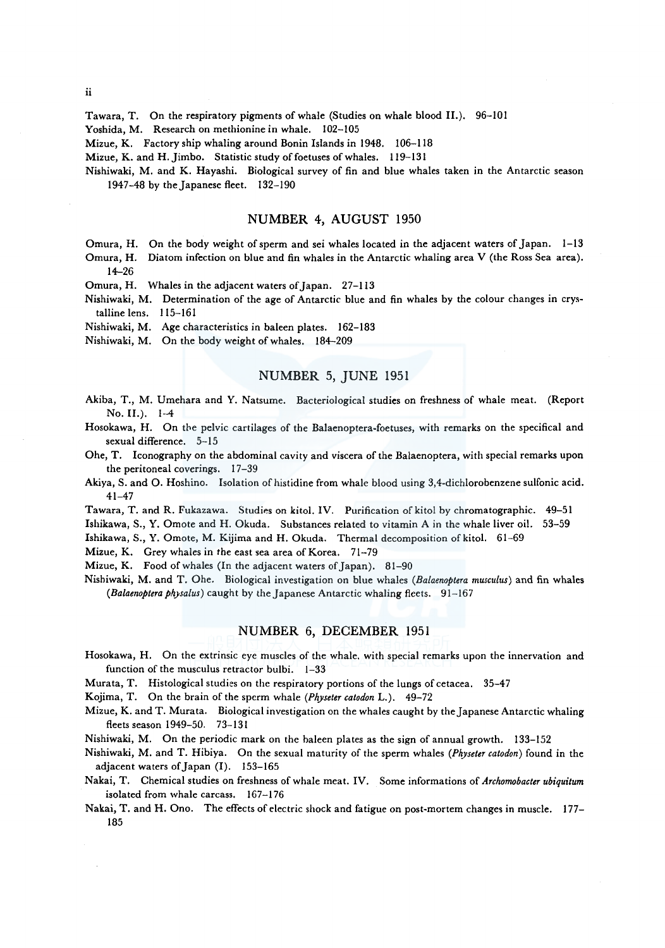ii

Tawara, T. On the respiratory pigments of whale (Studies on whale blood II.). 96-101

Yoshida, M. Research on methionine in whale. 102-105

Mizue, K. Factory ship whaling around Bonin Islands in 1948. 106-118

Mizue, K. and H. Jimbo. Statistic study of foetuses of whales. 119-131

Nishiwaki, M. and K. Hayashi. Biological survey of fin and blue whales taken in the Antarctic season 1947-48 by the Japanese fleet. 132-190

### NUMBER 4, AUGUST 1950

Omura, H. On the body weight of sperm and sei whales located in the adjacent waters of Japan. 1-13

Omura, H. Diatom infection on blue and fin whales in the Antarctic whaling area V (the Ross Sea area). 14-26

Omura, H. Whales in the adjacent waters of Japan. 27-113

Nishiwaki, M. Determination of the age of Antarctic blue and fin whales by the colour changes in crystalline lens. 115-161

Nishiwaki, M. Age characteristics in baleen plates. 162-183

Nishiwaki, M. On the body weight of whales. 184-209

# NUMBER 5, JUNE 1951

- Akiba, T., M. Umehara and Y. Natsume. Bacteriological studies on freshness of whale meat. (Report No. II.). 1-4
- Hosokawa, H. On the pelvic cartilages of the Balaenoptera-foetuses, with remarks on the specifical and sexual difference. 5-15
- Ohe, T. Iconography on the abdominal cavity and viscera of the Balaenoptera, with special remarks upon the peritoneal coverings. 17-39
- Akiya, S. and O. Hoshino. Isolation of histidine from whale blood using 3,4-dichlorobenzene sulfonic acid. 41-47
- Tawara, T. and R. Fukazawa. Studies on kitol. IV. Purification of kitol by chromatographic. 49-51

Ishikawa, S., Y. Omote and H. Okuda. Substances related to vitamin A in the whale liver oil. 53-59

Ishikawa, S., Y. Omote, M. Kijima and H. Okuda. Thermal decomposition of kitol. 61-69

Mizue, K. Grey whales in the east sea area of Korea. 71-79

Mizue, K. Food of whales (In the adjacent waters of Japan). 81-90

Nishiwaki, M. and T. Ohe. Biological investigation on blue whales *(Balaenoptera musculus)* and fin whales *(Balaenoptera physalus)* caught by the Japanese Antarctic whaling fleets. 91-167

# NUMBER 6, DECEMBER 1951

Hosokawa, H. On the extrinsic eye muscles of the whale. with special remarks upon the innervation and function of the musculus retractor bulbi. 1-33

Murata, T. Histological studies on the respiratory portions of the lungs of cetacea. 35-47

Kojima, T. On the brain of the sperm whale *(Physeter catodon* L.). 49-72

Mizue, K. and T. Murata. Biological investigation on the whales caught by the Japanese Antarctic whaling fleets season 1949-50. 73-131

Nishiwaki, M. On the periodic mark on the baleen plates as the sign of annual growth. 133-152

Nishiwaki, M. and T. Hibiya. On the sexual maturity of the sperm whales *(Pkyseter catodon)* found in the adjacent waters of Japan (I). 153-165

Nakai, T. Chemical studies on freshness of whale meat. IV. Some informations of *Archomobacter ubiquitum*  isolated from whale carcass. 167-176

Nakai, T. and H. Ono. The effects of electric shock and fatigue on post-mortem changes in muscle. 177- 185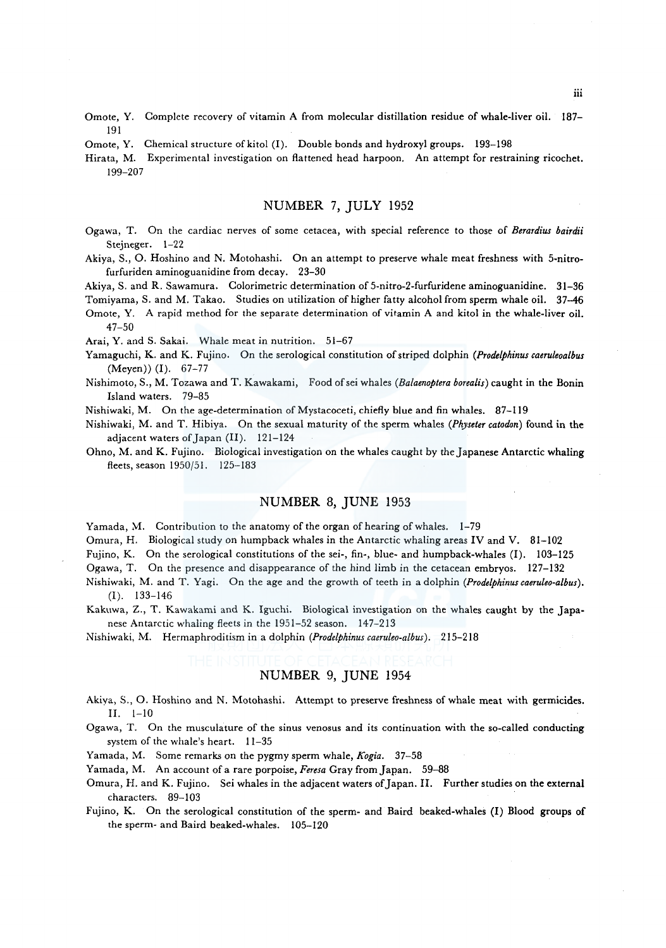- Omote, Y. Complete recovery of vitamin A from molecular distillation residue of whale-liver oil. 187- 191
- Omote, Y. Chemical structure of kitol (I). Double bonds and hydroxyl groups. 193-198

Hirata, M. Experimental investigation on flattened head harpoon. An attempt for restraining ricochet. 199-207

# NUMBER 7, JULY 1952

- Ogawa, T. On the cardiac nerves of some cetacea, with special reference to those of *Berardius bairdii*  Steineger. 1-22
- Akiya, S., 0. Hoshino and N. Motohashi. On an attempt to preserve whale meat freshness with 5-nitrofurfuriden aminoguanidine from decay. 23-30

Akiya, S. and R. Sawamura. Colorimetric determination of 5-nitro-2-furfuridene aminoguanidine. 31-36

Tomiyama, S. and M. Takao. Studies on utilization of higher fatty alcohol from sperm whale oil. 37-46

Omote, Y. A rapid method for the separate determination of vitamin A and kitol in the whale-liver oil. 47-50

Arai, Y. and S. Sakai. Whale meat in nutrition. 51-67

- Yamaguchi, K. and K. Fujino. On the serological constitution of striped dolphin *(Prodelphinus caeruleoalbus*  (Meyen)) (I). 67-77
- Nishimoto, S., M. Tozawa and T. Kawakami, Food ofsei whales *(Balaenoptera borealis)* caught in the Bonin Island waters. 79-85

Nishiwaki, M. On the age-determination of Mystacoceti, chiefly blue and fin whales. 87-119

Nishiwaki, M. and T. Hibiya. On the sexual maturity of the sperm whales *(Physeter catodon)* found in the adjacent waters of Japan (II). 121-124

Ohno, M. and K. Fujino. Biological investigation on the whales caught by the Japanese Antarctic whaling fleets, season 1950/51. 125-183

# NUMBER 8, JUNE 1953

Yamada, M. Contribution to the anatomy of the organ of hearing of whales. 1-79

Omura, H. Biological study on humpback whales in the Antarctic whaling areas IV and V. 81-102

Fujino, K. On the serological constitutions of the sei-, fin-, blue- and humpback-whales (I). 103-125

Ogawa, T. On the presence and disappearance of the hind limb in the cetacean embryos. 127-132

- Nishiwaki, M. and T. Yagi. On the age and the growth of teeth in a dolphin *(Prodelphinus caeruleo-albus).*  (I). 133-146
- Kakuwa, Z., T. Kawakami and K. lguchi. Biological investigation on the whales caught by the Japanese Antarctic whaling fleets in the 1951-52 season. 147-213

Nishiwaki, M. Hermaphroditism in a dolphin *(Prodelphinus caeruleo-albus).* 215-218

# NUMBER 9, JUNE 1954

- Akiya, S., 0. Hoshino and N. Motohashi. Attempt to preserve freshness of whale meat with germicides. II. 1-10
- Ogawa, T. On the musculature of the sinus venosus and its continuation with the so-called conducting system of the whale's heart. 11-35

Yamada, M. Some remarks on the pygmy sperm whale, *Kogia.* 37-58

Yamada, M. An account of a rare porpoise, *Feresa* Gray from Japan. 59-88

Omura, H. and K. Fujino. Sei whales in the adjacent waters of Japan. II. Further studies on the external characters. 89-103

Fujino, K. On the serological constitution of the sperm- and Baird beaked-whales (I) Blood groups of the sperm- and Baird beaked-whales. 105-120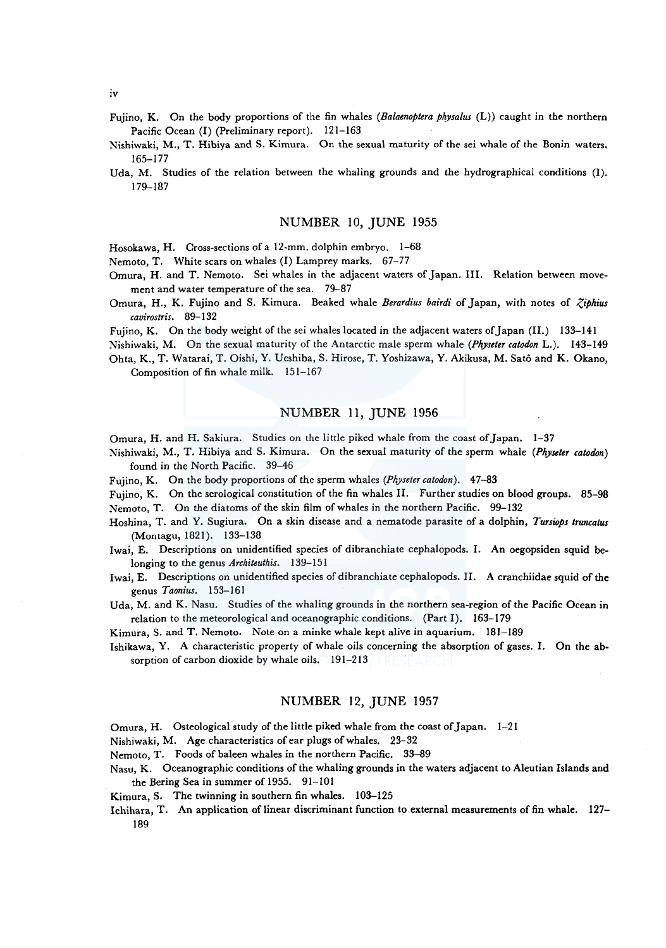iv

- Fujino, K. On the body proportions of the fin whales *(Balaenoptera physalus* (L)) caught in the northern Pacific Ocean (I) (Preliminary report). 121-163
- Nishiwaki, M., T. Hibiya and S. Kimura. On the sexual maturity of the sei whale of the Bonin waters. 165-177
- Uda, M. Studies of the relation between the whaling grounds and the hydrographical conditions (I). 179-187

# NUMBER 10, JUNE 1955

Hosokawa, H. Cross-sections of a 12-mm. dolphin embryo. 1-68

Nemoto, T. White scars on whales (I) Lamprey marks. 67-77

- Omura, H. and T. Nemoto. Sei whales in the adjacent waters of Japan. III. Relation between movement and water temperature of the sea. 79-87
- Omura, H., K. Fujino and S. Kimura. Beaked whale *Berardius bairdi* of Japan, with notes of *Ziphius cavirostris.* 89-132

Fujino, K. On the body weight of the sei whales located in the adjacent waters of Japan (II.) 133-141

Nishiwaki, M. On the sexual maturity of the Antarctic male sperm whale *(Physeter catodon* L.). 143-149 Ohta, K., T. Watarai, T. Oishi, Y. Ueshiba, S. Hirose, T. Yoshizawa, Y. Akikusa, M. Sato and K. Okano, Composition of fin whale milk. 151-167

# NUMBER 11, JUNE 1956

Omura, H. and H. Sakiura. Studies on the little piked whale from the coast of Japan. 1-37

- Nishiwaki, M., T. Hibiya and S. Kimura. On the sexual maturity of the sperm whale *(Physeter catodon)*  found in the North Pacific. 39-46
- Fujino, K. On the body proportions of the sperm whales *(Physeter catodon).* 47-83
- Fujino, K. On the serological constitution of the fin whales II. Further studies on blood groups. 85-98 Nemoto, T. On the diatoms of the skin film of whales in the northern Pacific. 99-132
- Hoshina, T. and Y. Sugiura. On a skin disease and a nematode parasite of a dolphin, *Tursiops truncatus*  (Montagu, 1821). 133-138
- Iwai, E. Descriptions on unidentified species of dibranchiate cephalopods. I. An oegopsiden squid belonging to the genus *Architeuthis.* 139-151
- Iwai, E. Descriptions on unidentified species of dibranchiate cephalopods. II. A cranchiidae squid of the genus *Taonius.* 153-161
- Uda, M. and K. Nasu. Studies of the whaling grounds in the northern sea-region of the Pacific Ocean in relation to the meteorological and oceanographic conditions. (Part I). 163-179

Kimura, S. and T. Nemoto. Note on a minke whale kept alive in aquarium. 181-189

Ishikawa, Y. A characteristic property of whale oils concerning the absorption of gases. I. On the absorption of carbon dioxide by whale oils. 191-213

### NUMBER I2, JUNE I957

Omura, H. Osteological study of the little piked whale from the coast of Japan. 1-21

Nishiwaki, M. Age characteristics of ear plugs of whales. 23-32

Nemoto, T. Foods of baleen whales in the northern Pacific. 33-89

Nasu, K. Oceanographic conditions of the whaling grounds in the waters adjacent to Aleutian Islands and the Bering Sea in summer of 1955. 91-101

Kimura, S. The twinning in southern fin whales. 103-125

Ichihara, T. An application of linear discriminant function to external measurements of fin whale. 127- 189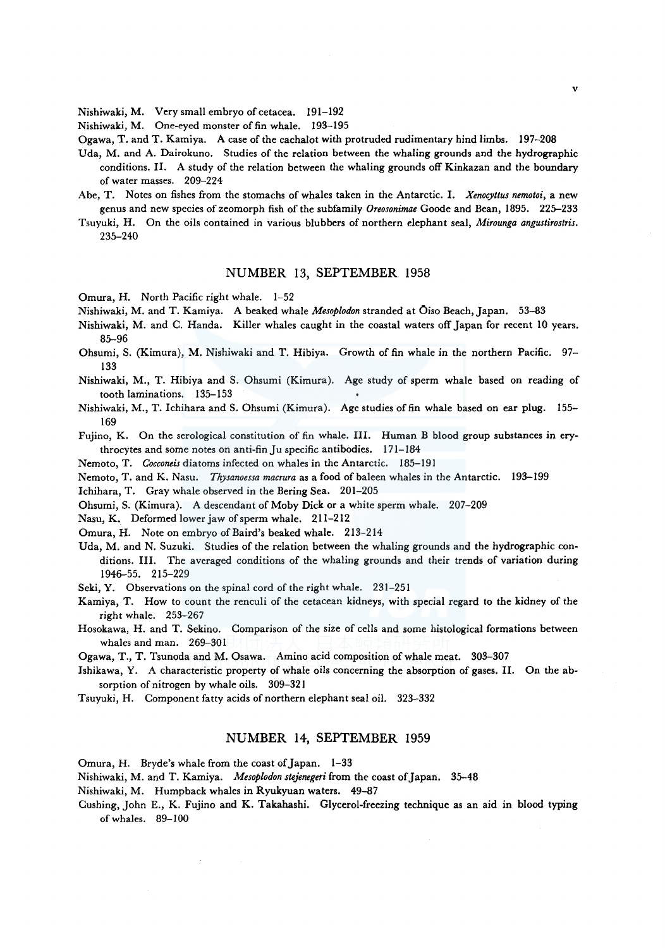Nishiwaki, M. Very small embryo of cetacea. 191-192

Nishiwaki, M. One-eyed monster of fin whale. 193-195

Ogawa, T. and T. Kamiya. A case of the cachalot with protruded rudimentary hind limbs. 197-208

- Uda, M. and A. Dairokuno. Studies of the relation between the whaling grounds and the hydrographic conditions. II. A study of the relation between the whaling grounds off Kinkazan and the boundary of water masses. 209-224
- Abe, T. Notes on fishes from the stomachs of whales taken in the Antarctic. I. *Xenocyttus nemotoi,* a new genus and new species of zeomorph fish of the subfamily *Oreosonimae* Goode and Bean, 1895. 225-233
- Tsuyuki, H. On the oils contained in various blubbers of northern elephant seal, *Mirounga angustirostris.*  235-240

### NUMBER 13, SEPTEMBER 1958

Omura, H. North Pacific right whale. 1-52

Nishiwaki, M. and T. Kamiya. A beaked whale *Mesoplodon* stranded at Oiso Beach, Japan. 53-83

- Nishiwaki, M. and C. Handa. Killer whales caught in the coastal waters off Japan for recent 10 years. 85-96
- Ohsumi, S. (Kimura), M. Nishiwaki and T. Hibiya. Growth of fin whale in the northern Pacific. 97- 133
- Nishiwaki, M., T. Hibiya and S. Ohsumi (Kimura). Age study of sperm whale based on reading of tooth laminations. 135-153
- Nishiwaki, M., T. Ichihara and S. Ohsumi (Kimura). Age studies of fin whale based on ear plug. 155- 169

Fujino, K. On the serological constitution of fin whale. III. Human B blood group substances in erythrocytes and some notes on anti-fin Ju specific antibodies. 171-184

Nemoto, T. *Cocconeis* diatoms infected on whales in the Antarctic. 185-191

Nemoto, T. and K. Nasu. *Thysanoessa macrura* as a food of baleen whales in the Antarctic. 193-199

Ichihara, T. Gray whale observed in the Bering Sea. 201-205

Ohsumi, S. (Kimura). A descendant of Moby Dick or a white sperm whale. 207-209

Nasu, K. Deformed lower jaw of sperm whale. 211-212

Omura, H. Note on embryo of Baird's beaked whale. 213-214

Uda, M. and N. Suzuki. Studies of the relation between the whaling grounds and the hydrographic conditions. III. The averaged conditions of the whaling grounds and their trends of variation during 1946-55. 215-229

Seki, Y. Observations on the spinal cord of the right whale. 231-251

- Kamiya, T. How to count the renculi of the cetacean kidneys, with special regard to the kidney of the right whale. 253-267
- Hosokawa, H. and T. Sekino. Comparison of the size of cells and some histological formations between whales and man. 269-301

Ogawa, T., T. Tsunoda and M. Osawa. Amino acid composition of whale meat. 303-307

- Ishikawa, Y. A characteristic property of whale oils concerning the absorption of gases. II. On the absorption of nitrogen by whale oils. 309-321
- Tsuyuki, H. Component fatty acids of northern elephant seal oil. 323-332

### NUMBER 14, SEPTEMBER 1959

Omura, H. Bryde's whale from the coast of Japan. 1-33

Nishiwaki, M. and T. Kamiya. *Mesoplodon stejenegeri* from the coast of Japan. 35-48

Nishiwaki, M. Humpback whales in Ryukyuan waters. 49-87

Cushing, John E., K. Fujino and K. Takahashi. Glycerol-freezing technique as an aid in blood typing of whales. 89-100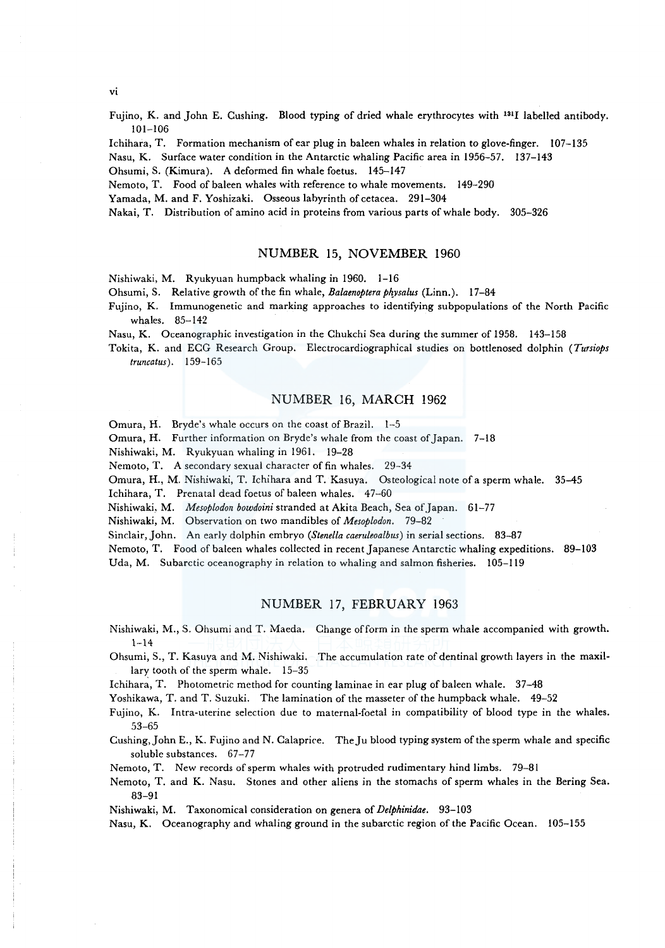vi

Fujino, K. and John E. Cushing. Blood typing of dried whale erythrocytes with <sup>131</sup>I labelled antibody. 101-106

Ichihara, T. Formation mechanism of ear plug in baleen whales in relation to glove-finger. 107-135

Nasu, K. Surface water condition in the Antarctic whaling Pacific area in 1956-57. 137-143

Ohsumi, S. (Kimura). A deformed fin whale foetus. 145-147

Nemoto, T. Food of baleen whales with reference to whale movements. 149-290

Yamada, M. and F. Yoshizaki. Osseous labyrinth of cetacea. 291-304

Nakai, T. Distribution of amino acid in proteins from various parts of whale body. 305-326

### NUMBER 15, NOVEMBER 1960

Nishiwaki, M. Ryukyuan humpback whaling in 1960. 1-16

Ohsumi, S. Relative growth of the fin whale, *Balaenoptera ph\_vsalus* (Linn.). 17-84

Fujino, K. Immunogenetic and marking approaches to identifying subpopulations of the North Pacific whales. 85-142

Nasu, K. Oceanographic investigation in the Chukchi Sea during the summer of 1958. 143-158

Tokita, K. and ECG Research Group. Electrocardiographical studies on bottlenosed dolphin *(Tursiops truncatus).* 159-165

# NUMBER 16, MARCH 1962

Omura, H. Bryde's whale occurs on the coast of Brazil. 1-5

Omura, H. Further information on Bryde's whale from the coast of Japan. 7-18

Nishiwaki, M. Ryukyuan whaling in 1961. 19-28

Nemoto, T. A secondary sexual character of fin whales. 29-34

Omura, H., M. Nishiwaki, T. Ichihara and T. Kasuya. Osteological note of a sperm whale. 35-45

Ichihara, T. Prenatal dead foetus of baleen whales. 47-60

Nishiwaki, M. *Mesoplodon bowdoini* stranded at Akita Beach, Sea ofJapan. 61-77

Nishiwaki, M. Observation on two mandibles of *Mesoplodon.* 79-82

Sinclair, John. An early dolphin embryo *(Stenella caeruleoalbus)* in serial sections. 83-87

Nemoto, T. Food of baleen whales collected in recent Japanese Antarctic whaling expeditions. 89-103

Uda, M. Subarctic oceanography in relation to whaling and salmon fisheries. 105-119

# NUMBER 17, FEBRUARY 1963

Nishiwaki, M., S. Ohsumi and T. Maeda. Change of form in the sperm whale accompanied with growth.  $1 - 14$ 

Ohsumi, S., T. Kasuya and M. Nishiwaki. The accumulation rate of dentinal growth layers in the maxillary tooth of the sperm whale. 15-35

Ichihara, T. Photometric method for counting laminae in ear plug of baleen whale. 37-48

Yoshikawa, T. and T. Suzuki. The lamination of the masseter of the humpback whale. 49-52

Fujino, K. Intra-uterine selection due to maternal-foetal in compatibility of blood type in the whales. 53-65

Cushing, John E., K. Fujino and N. Calaprice. The Ju blood typing system of the sperm whale and specific soluble substances. 67-77

Nemoto, T. New records of sperm whales with protruded rudimentary hind limbs. 79-81

Nemoto, T. and K. Nasu. Stones and other aliens in the stomachs of sperm whales in the Bering Sea. 83-91

Nishiwaki, M. Taxonomical consideration on genera of *Delphinidae.* 93-103

Nasu, K. Oceanography and whaling ground in the subarctic region of the Pacific Ocean. 105-155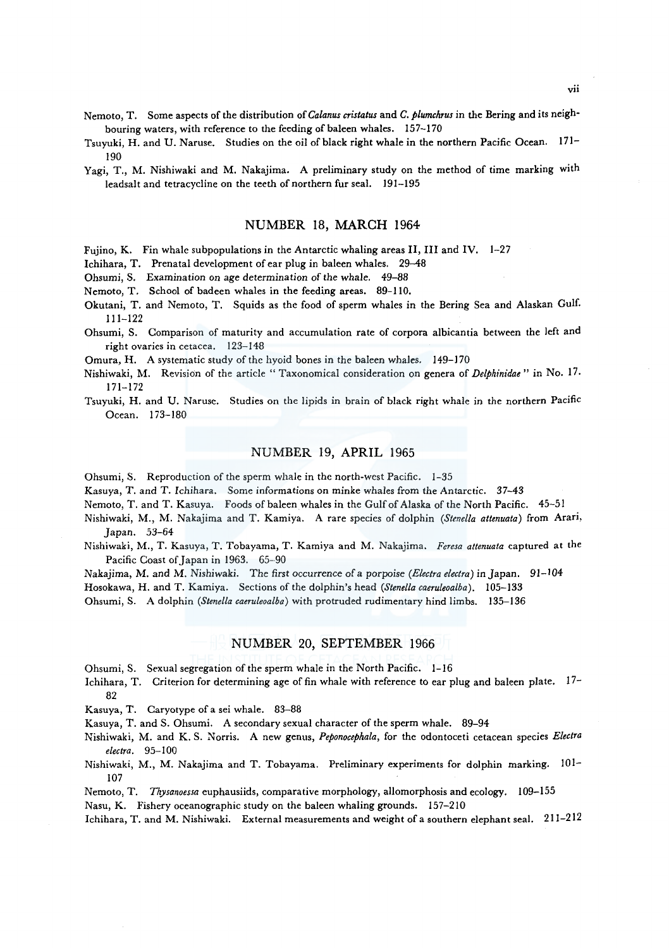- Nemoto, T. Some aspects of the distribution *ofCalanus cristatus* and *C. plumchrus* in the Bering and its neighbouring waters, with reference to the feeding of baleen whales. 157-170
- Tsuyuki, H. and U. Naruse. Studies on the oil of black right whale in the northern Pacific Ocean. 171- 190
- Yagi, T., M. Nishiwaki and M. Nakajima. A preliminary study on the method of time marking with leadsalt and tetracycline on the teeth of northern fur seal. 191-195

#### NUMBER 18, MARCH 1964

Fujino, K. Fin whale subpopulations in the Antarctic whaling areas II, III and IV. 1-27

lchihara, T. Prenatal development of ear plug in baleen whales. 29-48

Ohsumi, S. Examination on age determination of the whale. 49-88

Nemoto, T. School of badeen whales in the feeding areas. 89-110.

Okutani, T. and Nemoto, T. Squids as the food of sperm whales in the Bering Sea and Alaskan Gulf. 111-122

Ohsumi, S. Comparison of maturity and accumulation rate of corpora albicantia between the left and right ovaries in cetacea. 123-148

Omura, H. A systematic study of the hyoid bones in the baleen whales. 149-170

- Nishiwaki, M. Revision of the article " Taxonomical consideration on genera of *Delphinidae"* in No. 17 · 171-172
- Tsuyuki, H. and U. Naruse. Studies on the lipids in brain of black right whale in the northern Pacific Ocean. 173-180

### NUMBER 19, APRIL 1965

Ohsumi, S. Reproduction of the sperm whale in the north-west Pacific. 1-35

Kasuya, T. and T. lchihara. Some informations on minke whales from the Antarctic. 37-43

Nemoto, T. and T. Kasuya. Foods of baleen whales in the Gulf of Alaska of the North Pacific. 45-51

- Nishiwaki, M., M. Nakajima and *T.* Kamiya. A rare species of dolphin *(Stene/la attenuata)* from Arari, Japan. 53-64
- Nishiwaki, M., *T.* Kasuya, *T.* Tobayama, T. Kamiya and M. Nakajima. *Feresa attenuata* captured at the Pacific Coast of Japan in 1963. 65-90

Nakajima, M. and M. Nishiwaki. The first occurrence of a porpoise *(Electra electra*) in Japan. 91-104

Hosokawa, H. and T. Kamiya. Sections of the dolphin's head *(Stene/la caeruleoalba).* 105-133

Ohsumi, S. A dolphin *(Stene/la caeruleoalba)* with protruded rudimentary hind limbs. 135-136

# NUMBER 20, SEPTEMBER 1966

Ohsumi, S. Sexual segregation of the sperm whale in the North Pacific. 1-16

Ichihara, T. Criterion for determining age of fin whale with reference to ear plug and baleen plate. 17- 82

Kasuya, T. Caryotype of a sei whale. 83-88

Kasuya, T. and S. Ohsumi. A secondary sexual character of the sperm whale. 89-94

Nishiwaki, M. and K. S. Norris. A new genus, *Peponocephala,* for the odontoceti cetacean species *Electra electra.* 95-100

Nishiwaki, M., M. Nakajima and T. Tobayama. Preliminary experiments for dolphin marking. 101- 107

Nemoto, T. *Thysanoessa* euphausiids, comparative morphology, allomorphosis and ecology. 109-155

Nasu, K. Fishery oceanographic study on the baleen whaling grounds. 157-210

Ichihara, T. and M. Nishiwaki. External measurements and weight of a southern elephant seal. 211-212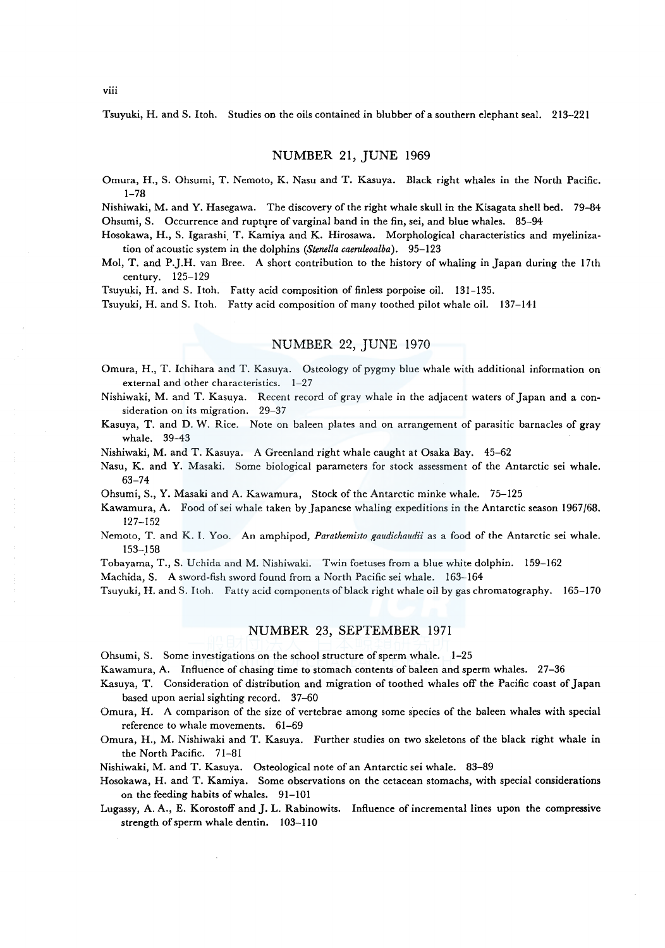Tsuyuki, H. and S. Itoh. Studies on the oils contained in blubber of a southern elephant seal. 213-221

### NUMBER 21, JUNE 1969

Omura, H., S. Ohsumi, T. Nemoto, K. Nasu and T. Kasuya. Black right whales in the North Pacific. 1-78

Nishiwaki, M. and Y. Hasegawa. The discovery of the right whale skull in the Kisagata shell bed. 79-84 Ohsumi, S. Occurrence and rupture of varginal band in the fin, sei, and blue whales. 85-94

Hosokawa, H., S. lgarashi. T. Kamiya and K. Hirosawa. Morphological characteristics and myelinization of acoustic system in the dolphins *(Stene/la caeruleoalba).* 95-123

Mol, T. and P.J.H. van Bree. A short contribution to the history of whaling in Japan during the 17th century. 125-129

Tsuyuki, H. and S. ltoh. Fatty acid composition of finless porpoise oil. 131-135.

Tsuyuki, H. and S. Itoh. Fatty acid composition of many toothed pilot whale oil. 137-141

# NUMBER 22, JUNE 1970

- Omura, H., T. Ichihara and T. Kasuya. Osteology of pygmy blue whale with additional information on external and other characteristics. 1-27
- Nishiwaki, M. and T. Kasuya. Recent record of gray whale in the adjacent waters of Japan and a consideration on its migration. 29-37
- Kasuya, T. and D. W. Rice. Note on baleen plates and on arrangement of parasitic barnacles of gray whale. 39-43

Nishiwaki, M. and T. Kasuya. A Greenland right whale caught at Osaka Bay. 45-62

Nasu, K. and Y. Masaki. Some biological parameters for stock assessment of the Antarctic sei whale. 63-74

Ohsumi, S., Y. Masaki and A. Kawamura, Stock of the Antarctic minke whale. 75-125

- Kawamura, A. Food ofsei whale taken by Japanese whaling expeditions in the Antarctic season 1967/68. 127-152
- Nemoto, T. and K. I. Yoo. An amphipod, *Parathemisto gaudichaudii* as a food of the Antarctic sei whale. 153-158
- Tobayama, T., S. Uchida and M. Nishiwaki. Twin foetuses from a blue white dolphin. 159-162

Machida, S. A sword-fish sword found from a North Pacific sei whale. 163-164

Tsuyuki, H. and S. Itoh. Fatty acid components of black right whale oil by gas chromatography. 165-170

# NUMBER 23, SEPTEMBER 1971

Ohsumi, S. Some investigations on the school structure of sperm whale. 1-25

Kawamura, A. Influence of chasing time to stomach contents of baleen and sperm whales. 27-36

Kasuya, T. Consideration of distribution and migration of toothed whales off the Pacific coast of Japan based upon aerial sighting record. 37-60

Omura, H. A comparison of the size of vertebrae among some species of the baleen whales with special reference to whale movements. 61-69

Omura, H., M. Nishiwaki and T. Kasuya. Further studies on two skeletons of the black right whale in the North Pacific. 71-81

Nishiwaki, M. and T. Kasuya. Osteological note of an Antarctic sei whale. 83-89

- Hosokawa, H. and T. Kamiya. Some observations on the cetacean stomachs, with special considerations on the feeding habits of whales. 91-101
- Lugassy, A. A., E. Korostoff and J. L. Rabinowits. Influence of incremental lines upon the compressive strength of sperm whale dentin. 103-110

viii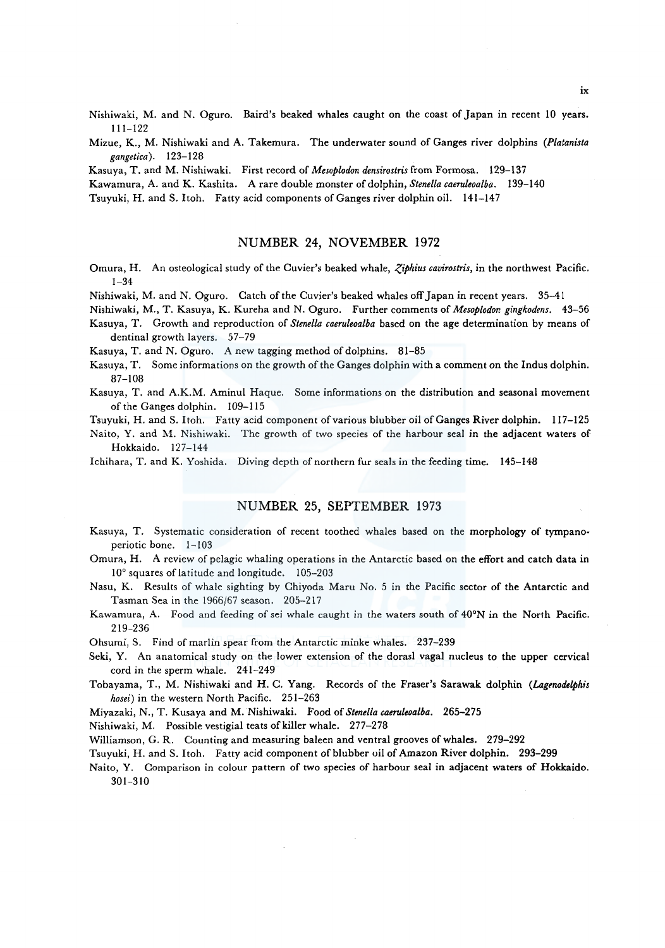Nishiwaki, M. and N. Oguro. Baird's beaked whales caught on the coast of Japan in recent 10 years. 111-122

Mizue, K., M. Nishiwaki and A. Takemura. The underwater sound of Ganges river dolphins *(Platanista gangetica).* 123-128

Kasuya, T. and M. Nishiwaki. First record of *Mesoplodon densirostris* from Formosa. 129-137

Kawamura, A. and K. Kashita. A rare double monster of dolphin, *Stenella caeruleoalba.* 139-140

Tsuyuki, H. and S. Itoh. Fatty acid components of Ganges river dolphin oil. 141-147

#### NUMBER 24, NOVEMBER 1972

- Omura, H. An osteological study of the Cuvier's beaked whale, *Ziphius cavirostris*, in the northwest Pacific. 1-34
- Nishiwaki, M. and N. Oguro. Catch of the Cuvier's beaked whales off Japan in recent years. 35-41
- Nishiwaki, M., T. Kasuya, K. Kureha and N. Oguro. Further comments of *Mesoplodor. gingkodens.* 43-56
- Kasuya, T. Growth and reproduction of *Stenella caeruleoalba* based on the age determination by means of dentinal growth layers. 57-79
- Kasuya, T. and N. Oguro. A new tagging method of dolphins. 81-85
- Kasuya, T. Some informations on the growth of the Ganges dolphin with a comment on the Indus dolphin. 87-108
- Kasuya, T. and A.K.M. Aminul Haque. Some informations on the distribution and seasonal movement of the Ganges dolphin. 109-115
- Tsuyuki, H. and S. Itoh. Fatty acid component of various blubber oil of Ganges River dolphin. 117-125

Naito, Y. and M. Nishiwaki. The growth of two species of the harbour seal in the adjacent waters of Hokkaido. 127-144

Ichihara, T. and K. Yoshida. Diving depth of northern fur seals in the feeding time. 145-148

# NUMBER 25, SEPTEMBER 1973

- Kasuya, T. Systematic consideration of recent toothed whales based on the morphology of tympanoperiotic bone. 1-103
- Omura, H. A review of pelagic whaling operations in the Antarctic based on the effort and catch data in 10° squares of latitude and longitude. 105-203
- Nasu, K. Results of whale sighting by Chiyoda Maru No. 5 in the Pacific sector of the Antarctic and Tasman Sea in the 1966/67 season. 205-217
- Kawamura, A. Food and feeding of sei whale caught in the waters south of 40°N in the North Pacific. 219-236
- Ohsumi, S. Find of marlin spear from the Antarctic minke whales. 237-239
- Seki, Y. An anatomical study on the lower extension of the dorasl vagal nucleus to the upper cervical cord in the sperm whale. 241-249
- Tobayama, T., M. Nishiwaki and H. C. Yang. Records of the Fraser's Sarawak dolphin *(Lagenodelphis hosei)* in the western North Pacific. 251-263

Miyazaki, N., T. Kusaya and M. Nishiwaki. Food of *Stenella caeruleoalba.* 265-275

Nishiwaki, M. Possible vestigial teats of killer whale. 277-278

Williamson, G. R. Counting and measuring baleen and ventral grooves of whales. 279-292

- Tsuyuki, H. and S. Itoh. Fatty acid component of blubber oil of Amazon River dolphin. 293-299
- Naito, Y. Comparison in colour pattern of two species of harbour seal in adjacent waters of Hokkaido. 301-310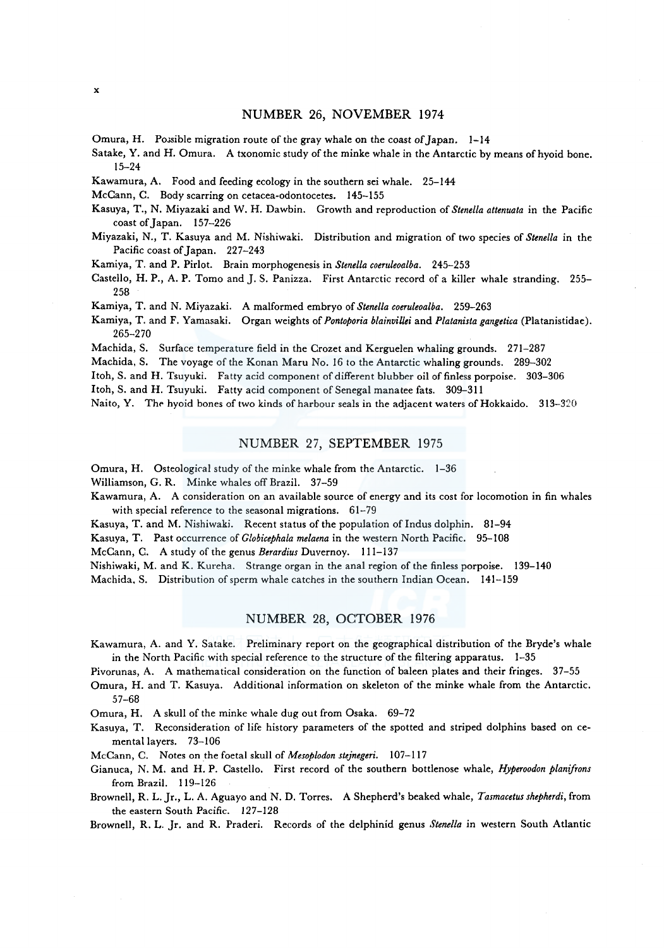# NUMBER 26, NOVEMBER 1974

Omura, H. Possible migration route of the gray whale on the coast of Japan.  $1-14$ 

Satake, Y. and H. Omura. A txonomic study of the minke whale in the Antarctic by means ofhyoid bone. 15-24

Kawamura, A. Food and feeding ecology in the southern sei whale. 25-144

McCann, C. Body scarring on cetacea-odontocetes. 145-155

- Kasuya, T., N. Miyazaki and W. H. Dawbin. Growth and reproduction of *Stenella attenuata* in the Pacific coast of Japan. 157-226
- Miyazaki, N., T. Kasuya and M. Nishiwaki. Distribution and migration of two species of *Stenella* in the Pacific coast of Japan. 227-243
- Kamiya, T. and P. Pirlot. Brain morphogenesis in *Stenella coeruleoalba.* 245-253
- Castello, H.P., A.P. Tomo and J.S. Panizza. First Antarctic record of a killer whale stranding. 255-258
- Kamiya, T. and N. Miyazaki. A malformed embryo of *Stene/la coeruleoalba.* 259-263
- Kamiya, T. and F. Yamasaki. Organ weights of *Pontoporia blainvillei* and *Platanista gangetica* (Platanistidae). 265-270
- Machida, S. Surface temperature field in the Crozet and Kerguelen whaling grounds. 271-287
- Machida, S. The voyage of the Konan Maru No. 16 to the Antarctic whaling grounds. 289-302
- Itoh, S. and H. Tsuyuki. Fatty acid component of different blubber oil of finless porpoise. 303-306
- Itoh, S. and H. Tsuyuki. Fatty acid component of Senegal manatee fats. 309-311
- Naito, Y. The hyoid bones of two kinds of harbour seals in the adjacent waters of Hokkaido. 313-320

#### NUMBER 27, SEPTEMBER 1975

Omura, H. Osteological study of the minke whale from the Antarctic. 1-36

Williamson, G. R. Minke whales off Brazil. 37-59

Kawamura, A. A consideration on an available source of energy and its cost for locomotion in fin whales with special reference to the seasonal migrations. 61-79

Kasuya, T. and M. Nishiwaki. Recent status of the population of Indus dolphin. 81-94

Kasuya, T. Past occurrence of *Globicephala melaena* in the western North Pacific. 95-108

McCann, C. A study of the genus *Berardius* Duvernoy. 111-137

Nishiwaki, M. and K. Kureha. Strange organ in the anal region of the finless porpoise. 139-140

Machida. S. Distribution of sperm whale catches in the southern Indian Ocean. 141-159

### NUMBER 28, OCTOBER 1976

Kawamura, A. and Y. Satake. Preliminary report on the geographical distribution of the Bryde's whale in the North Pacific with special reference to the structure of the filtering apparatus. 1-35

Pivorunas, A. A mathematical consideration on the function of baleen plates and their fringes. 37-55

Omura, H. and T. Kasuya. Additional information on skeleton of the minke whale from the Antarctic. 57-68

Omura, H. A skull of the minke whale dug out from Osaka. 69-72

Kasuya, T. Reconsideration of life history parameters of the spotted and striped dolphins based on cemental layers. 73-106

McCann, C. Notes on the foetal skull of *Mesoplodon stejnegeri.* 107-1I7

- Gianuca, N. M. and H.P. Castello. First record of the southern bottlenose whale, *Hyperoodon planifrons*  from Brazil. 119-126
- Brownell, R. L. Jr., L. A. Aguayo and N. D. Torres. A Shepherd's beaked whale, *Tasmacetus shepherdi,* from the eastern South Pacific. 127-128

Brownell, R. L. Jr. and R. Praderi. Records of the delphinid genus *Stenella* in western South Atlantic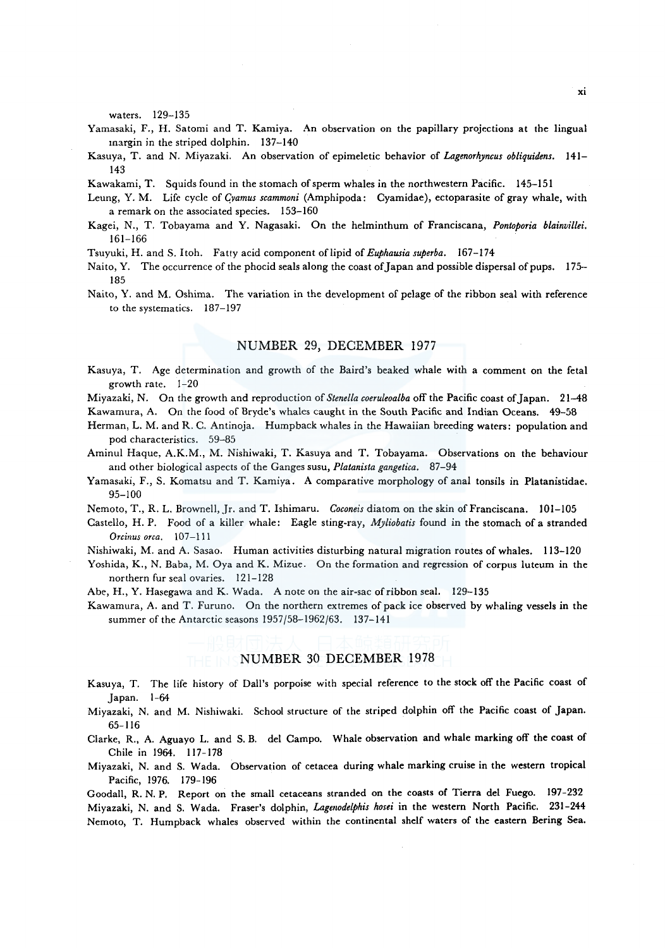waters. 129-135

- Yamasaki, F., H. Satomi and T. Kamiya. An observation on the papillary projections at the lingual margin in the striped dolphin. 137-140
- Kasuya, T. and N. Miyazaki. An observation of epimeletic behavior of *Lagenorhyncus obliquidens.* 141- 143

Kawakami, T. Squids found in the stomach of sperm whales in the northwestern Pacific. 145-151

- Leung, Y. M. Life cycle of *(!vamus scammoni* (Amphipoda: Cyamidae), ectoparasite of gray whale, with a remark on the associated species. 153-160
- Kagei, N., T. Tobayama and Y. Nagasaki. On the helminthum of Franciscana, *Pontoporia blainvillei.*  161-166
- Tsuyuki, H. and S. Itoh. Fatty acid component of lipid of *Euphausia superba.* 167-174
- Naito, Y. The occurrence of the phocid seals along the coast of Japan and possible dispersal of pups. 175-185
- Naito, Y. and M. Oshima. The variation in the development of pelage of the ribbon seal with reference to the systematics. 187-197

### NUMBER 29, DECEMBER 1977

Kasuya, T. Age determination and growth of the Baird's beaked whale with a comment on the feta! growth rate. 1-20

Miyazaki, N. On the growth and reproduction of *Stenella coeruleoalba* off the Pacific coast of Japan. 21-48

Kawamura, A. On the food of Bryde's whales caught in the South Pacific and Indian Oceans. 49-58

- Herman, L. M. and R. C. Antinoja. Humpback whales in the Hawaiian breeding waters: population and pod characteristics. 59-85
- Aminul Haque, A.K.M., M. Nishiwaki, T. Kasuya and T. Tobayama. Observations on the behaviour and other biological aspects of the Ganges susu, *Platanista gangetica.* 87-94
- Yamasaki, F., S. Komatsu and T. Kamiya. A comparative morphology of anal tonsils in Platanistidae. 95-100
- Nemoto, T., R. L. Brownell, Jr. and T. Ishimaru. *Coconeis* diatom on the skin of Franciscana. 101-105
- Castello, H.P. Food of a killer whale: Eagle sting-ray, *Myliobatis* found in the stomach of a stranded *Orcitius orca.* 107-111
- Nishiwaki, M. and A. Sasao. Human activities disturbing natural migration routes of whales. 113-120

Yoshida, K., N. Baba, M. Oya and K. Mizue. On the formation and regression of corpus luteum in the northern fur seal ovaries. 121-128

Abe, H., Y. Hasegawa and K. Wada. A note on the air-sac of ribbon seal. 129-135

Kawamura, A. and T. Furuno. On the northern extremes of pack ice observed by whaling vessels in the summer of the Antarctic seasons 1957/58-1962/63. 137-141

# NUMBER 30 DECEMBER 1978

Kasuya, T. The life history of Dall's porpoise with special reference to the stock off the Pacific coast of Japan. 1-64

Miyazaki, N. and M. Nishiwaki. School structure of the striped dolphin off the Pacific coast of Japan. 65-116

Clarke, R., A. Aguayo L. and S. B. de! Campo. Whale observation and whale marking off the coast of Chile in 1964. 117-178

Miyazaki, N. and S. Wada. Observation of cetacea during whale marking cruise in the western tropical Pacific, 1976. 179-196

Goodall, R. N. P. Report on the small cetaceans stranded on the coasts of Tierra de! Fuego. 197-232 Miyazaki, N. and S. Wada. Fraser's dolphin, *Lagmodelphis hosei* in the western North Pacific. 231-244 Nemoto, T. Humpback whales observed within the continental shelf waters of the eastern Bering Sea.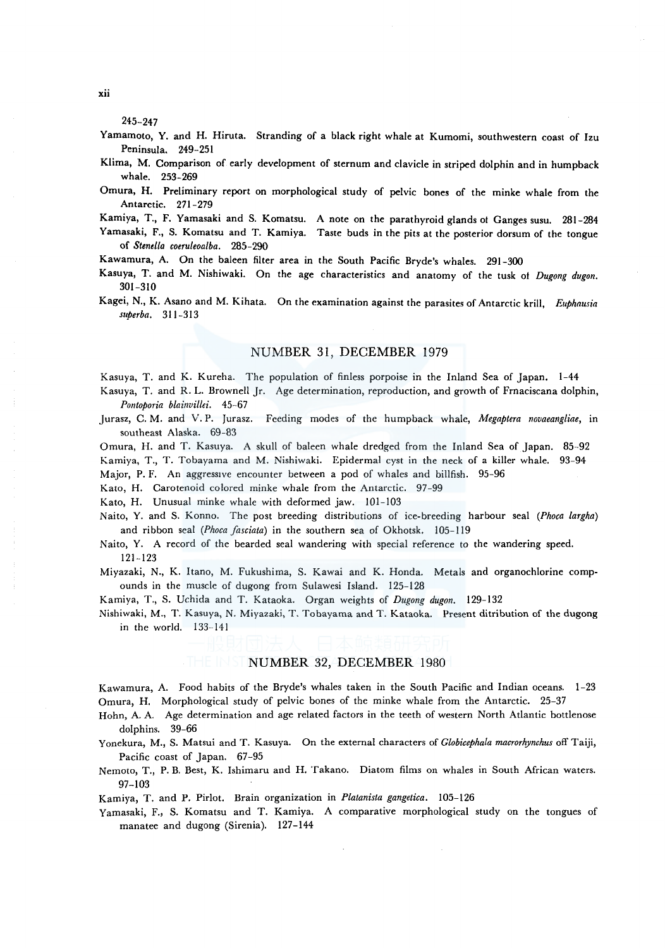245-247

- Yamamoto, Y. and H. Hiruta. Stranding of a black right whale at Kumomi, southwestern coast of Izu Peninsula. 249-251
- Klima, M. Comparison of early development of sternum and clavicle in striped dolphin and in humpback whale. 253-269
- Omura, H. Preliminary report on morphological study of pelvic bones of the minke whale from the Antarctic. 271-279
- Kamiya, T., F. Yamasaki and S. Komatsu. A note on the parathyroid glands ol Ganges susu. 281-284
- Yamasaki, F., S. Komatsu and T. Kamiya. Taste buds in the pits at the posterior dorsum of the tongue of *Stenella coeru/eoalba.* 285-290

Kawamura, A. On the baleen filter area in the South Pacific Bryde's whales. 291-300

- Kasuya, T. and M. Nishiwaki. On the age characteristics and anatomy of the tusk of *Dugong dugon.*  301-310
- Kagei, N., K. Asano and M. Kihata. On the examination against the parasites of Antarctic krill, *Euphausia superba.* 311-313

# NUMBER 31, DECEMBER 1979

Kasuya, T. and K. Kureha. The population of finless porpoise in the Inland Sea of Japan. 1-44 Kasuya, T. and R. L. Brownell Jr. Age determination, reproduction, and growth of Frnaciscana dolphin,

*Pontoporia blainvillei.* 45-67

Jurasz, C. M. and V. P. Jurasz. Feeding modes of the humpback whale, *Megaptera novaeangliae,* in southeast Alaska. 69-83

Omura, H. and T. Kasuya. A skull of baleen whale dredged from the Inland Sea of Japan. 85-92 Kamiya, T., T. Tobayama and M. Nishiwaki. Epidermal cyst in the neck of a killer whale. 93-94

Major, P. F. An aggressive encounter between a pod of whales and billfish. 95-96

Kato, H. Carotenoid colored minke whale from the Antarctic. 97-99

Kato, H. Unusual minke whale with deformed jaw. 101-103

Naito, Y. and S. Konno. The post breeding distributions of ice-breeding harbour seal *(Phoca largha)*  and ribbon seal *(Phoca fasciata)* in the southern sea of Okhotsk. 105-119

Naito, Y. A record of the bearded seal wandering with special reference to the wandering speed. 121-123

Miyazaki, N., K. Itano, M. Fukushima, S. Kawai and K. Honda. Metals and organochlorine compounds in the muscle of dugong from Sulawesi Island. 125-128

Kamiya, T., S. Uchida and T. Kataoka. Organ weights of *Dugong dugon.* 129-132

Nishiwaki, M., T. Kasuya, N. Miyazaki, T. Tobayama and T. Kataoka. Present ditribution of the dugong in the world. 133-141

### THE INSTRUMBER 32, DECEMBER 1980

Kawamura, A. Food habits of the Bryde's whales taken in the South Pacific and Indian oceans. 1-23 Omura, H. Morphological study of pelvic bones of the minke whale from the Antarctic. 25-37

Hohn, A. A. Age determination and age related factors in the teeth of western North Atlantic bottlenose dolphins. 39-66

- Yonekura, M., S. Matsui and T. Kasuya. On the external characters of *Globicephala macrorhynchus* off Taiji, Pacific coast of Japan. 67-95
- Nemoto, T., P. B. Best, K. Ishimaru and H. Takano. Diatom films on whales in South African waters. 97-103

Kamiya, T. and P. Pirlot. Brain organization in *Platanista gangetica.* 105-126

Yamasaki, F., S. Komatsu and T. Kamiya. A comparative morphological study on the tongues of manatee and dugong (Sirenia). 127-144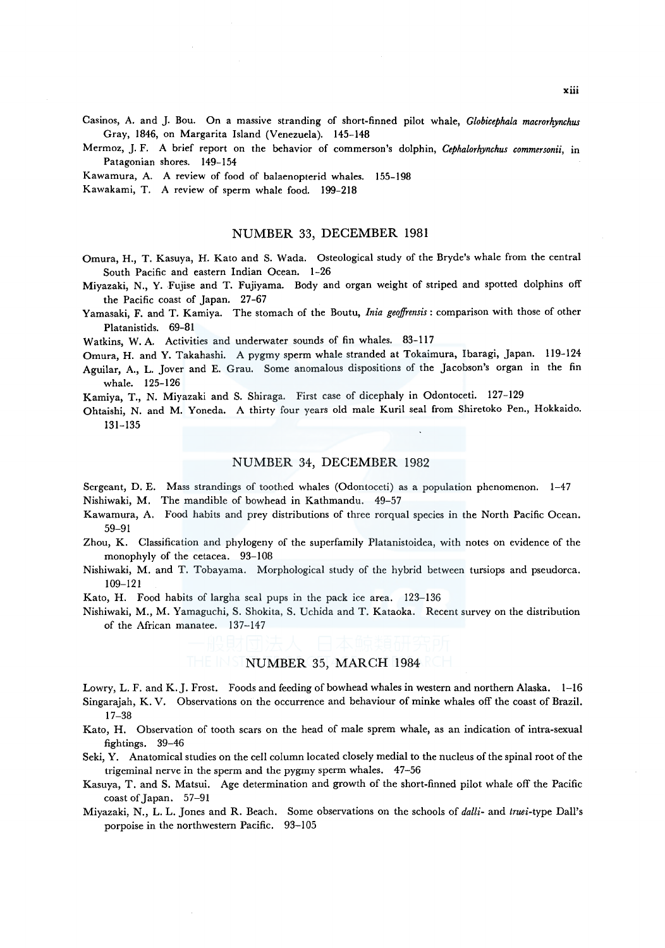Casinos, A. and J. Bou. On a massive stranding of short-finned pilot whale, *Globicephala macrorhynchus*  Gray, 1846, on Margarita Island (Venezuela). 145-148

Mermoz, J. F. A brief report on the behavior of commerson's dolphin, *Cephalorhynchus commersonii,* in Patagonian shores. 149-154

Kawamura, A. A review of food of balaenopterid whales. 155-198

Kawakami, T. A review of sperm whale food. 199-218

### NUMBER 33, DECEMBER 1981

- Omura, H., T. Kasuya, H. Kato and S. Wada. Osteological study of the Bryde's whale from the central South Pacific and eastern Indian Ocean. 1-26
- Miyazaki, N., Y. Fujise and T. Fujiyama. Body and organ weight of striped and spotted dolphins off the Pacific coast of Japan. 27-67
- Yamasaki, F. and T. Kamiya. The stomach of the Boutu, *Inia geoffrensis:* comparison with those of other Platanistids. 69-81

Watkins, W. A. Activities and underwater sounds of fin whales. 83-117

Omura, H. and Y. Takahashi. A pygmy sperm whale stranded at Tokaimura, lbaragi, Japan. 119-124

Aguilar, A., L. Jover and E. Grau. Some anomalous dispositions of the Jacobson's organ in the fin whale. 125-126

Kamiya, T., N. Miyazaki and S. Shiraga. First case of dicephaly in Odontoceti. 127-129

Ohtaishi, N. and M. Yoneda. A thirty four years old male Kuril seal from Shiretoko Pen., Hokkaido. 131-135

### NUMBER 34, DECEMBER 1982

Sergeant, D. E. Mass strandings of toothed whales (Odontoceti) as a population phenomenon. 1-47 Nishiwaki, M. The mandible of bowhead in Kathmandu. 49-57

- Kawamura, A. Food habits and prey distributions of three rorqual species in the North Pacific Ocean. 59-91
- Zhou, K. Classification and phylogeny of the superfamily Platanistoidea, with notes on evidence of the monophyly of the cetacea. 93-108
- Nishiwaki, M. and T. Tobayama. Morphological study of the hybrid between tursiops and pseudorca. 109-121

Kato, H. Food habits of largha seal pups in the pack ice area. 123-136

Nishiwaki, M., M. Yamaguchi, S. Shokita, S. Uchida and T. Kataoka. Recent survey on the distribution of the African manatee. 137-147

# NUMBER 35, MARCH 1984

- Lowry, L. F. and K. J. Frost. Foods and feeding of bowhead whales in western and northern Alaska. 1-16 Singarajah, K. V. Observations on the occurrence and behaviour of minke whales off the coast of Brazil. 17-38
- Kato, H. Observation of tooth scars on the head of male sprem whale, as an indication of intra-sexual fightings. 39-46
- Seki, Y. Anatomical studies on the cell column located closely medial to the nucleus of the spinal root of the trigeminal nerve in the sperm and the pygmy sperm whales. 47-56
- Kasuya, T. and S. Matsui. Age determination and growth of the short-finned pilot whale off the Pacific coast of Japan. 57-91
- Miyazaki, N., L. L. Jones and R. Beach. Some observations on the schools of *dalli-* and *truei-type* Dall's porpoise in the northwestern Pacific. 93-105